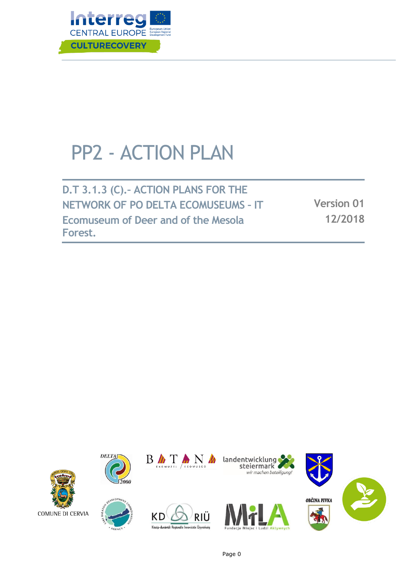

# PP2 - ACTION PLAN

**D.T 3.1.3 (C).– ACTION PLANS FOR THE NETWORK OF PO DELTA ECOMUSEUMS – IT Ecomuseum of Deer and of the Mesola Forest.**

**Version 01 12/2018**





 $\overline{2000}$ 

**DELTA** 



Közép-dunántúli Regionális Innovációs Ügynökség

**KD** 

RIÜ







Page 0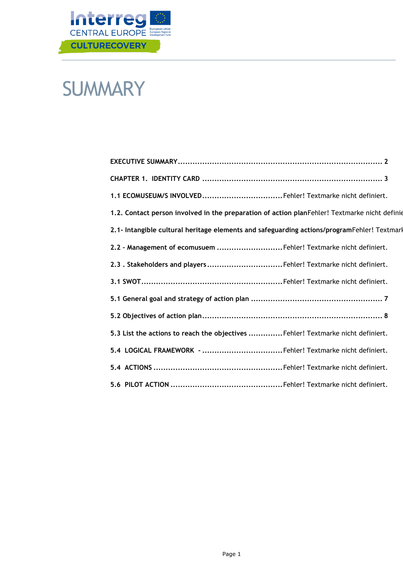

## **SUMMARY**

| 1.1 ECOMUSEUM/S INVOLVEDFehler! Textmarke nicht definiert.                                    |
|-----------------------------------------------------------------------------------------------|
| 1.2. Contact person involved in the preparation of action planFehler! Textmarke nicht definie |
| 2.1- Intangible cultural heritage elements and safeguarding actions/programFehler! Textmark   |
| 2.2 - Management of ecomusuem Fehler! Textmarke nicht definiert.                              |
| 2.3. Stakeholders and playersFehler! Textmarke nicht definiert.                               |
|                                                                                               |
|                                                                                               |
|                                                                                               |
| 5.3 List the actions to reach the objectives Fehler! Textmarke nicht definiert.               |
|                                                                                               |
|                                                                                               |
|                                                                                               |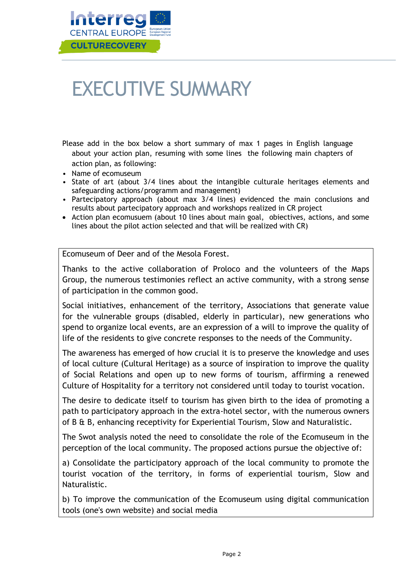

# <span id="page-2-0"></span>EXECUTIVE SUMMARY

Please add in the box below a short summary of max 1 pages in English language about your action plan, resuming with some lines the following main chapters of action plan, as following:

- Name of ecomuseum
- State of art (about 3/4 lines about the intangible culturale heritages elements and safeguarding actions/programm and management)
- Partecipatory approach (about max 3/4 lines) evidenced the main conclusions and results about partecipatory approach and workshops realized in CR project
- Action plan ecomusuem (about 10 lines about main goal, obiectives, actions, and some lines about the pilot action selected and that will be realized with CR)

Ecomuseum of Deer and of the Mesola Forest.

Thanks to the active collaboration of Proloco and the volunteers of the Maps Group, the numerous testimonies reflect an active community, with a strong sense of participation in the common good.

Social initiatives, enhancement of the territory, Associations that generate value for the vulnerable groups (disabled, elderly in particular), new generations who spend to organize local events, are an expression of a will to improve the quality of life of the residents to give concrete responses to the needs of the Community.

The awareness has emerged of how crucial it is to preserve the knowledge and uses of local culture (Cultural Heritage) as a source of inspiration to improve the quality of Social Relations and open up to new forms of tourism, affirming a renewed Culture of Hospitality for a territory not considered until today to tourist vocation.

The desire to dedicate itself to tourism has given birth to the idea of promoting a path to participatory approach in the extra-hotel sector, with the numerous owners of B & B, enhancing receptivity for Experiential Tourism, Slow and Naturalistic.

The Swot analysis noted the need to consolidate the role of the Ecomuseum in the perception of the local community. The proposed actions pursue the objective of:

a) Consolidate the participatory approach of the local community to promote the tourist vocation of the territory, in forms of experiential tourism, Slow and Naturalistic.

b) To improve the communication of the Ecomuseum using digital communication tools (one's own website) and social media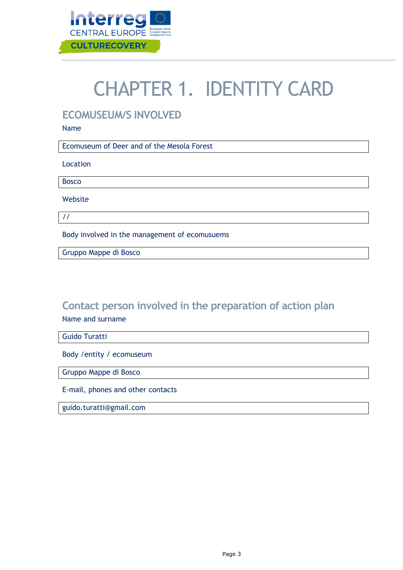

# CHAPTER 1. IDENTITY CARD

### **ECOMUSEUM/S INVOLVED**

Name

Ecomuseum of Deer and of the Mesola Forest

Location

Bosco

Website

//

Body involved in the management of ecomusuems

Gruppo Mappe di Bosco

### **Contact person involved in the preparation of action plan**  Name and surname

Guido Turatti

Body /entity / ecomuseum

Gruppo Mappe di Bosco

E-mail, phones and other contacts

guido.turatti@gmail.com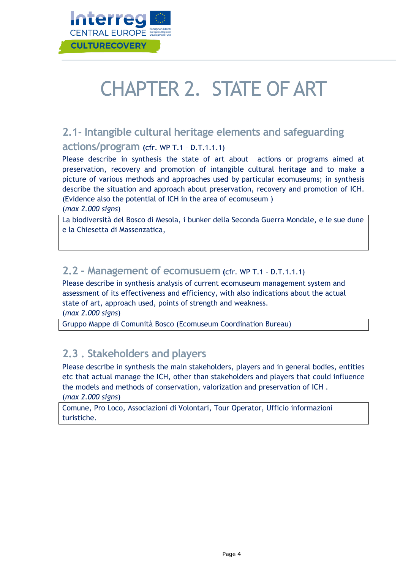

# CHAPTER 2. STATE OF ART

## **2.1- Intangible cultural heritage elements and safeguarding**

#### **actions/program (**cfr. WP T.1 – D.T.1.1.1)

Please describe in synthesis the state of art about actions or programs aimed at preservation, recovery and promotion of intangible cultural heritage and to make a picture of various methods and approaches used by particular ecomuseums; in synthesis describe the situation and approach about preservation, recovery and promotion of ICH. (Evidence also the potential of ICH in the area of ecomuseum )

(*max 2.000 signs*)

La biodiversità del Bosco di Mesola, i bunker della Seconda Guerra Mondale, e le sue dune e la Chiesetta di Massenzatica,

### **2.2 – Management of ecomusuem (**cfr. WP T.1 – D.T.1.1.1)

Please describe in synthesis analysis of current ecomuseum management system and assessment of its effectiveness and efficiency, with also indications about the actual state of art, approach used, points of strength and weakness.

(*max 2.000 signs*)

Gruppo Mappe di Comunità Bosco (Ecomuseum Coordination Bureau)

### **2.3 . Stakeholders and players**

Please describe in synthesis the main stakeholders, players and in general bodies, entities etc that actual manage the ICH, other than stakeholders and players that could influence the models and methods of conservation, valorization and preservation of ICH . (*max 2.000 signs*)

Comune, Pro Loco, Associazioni di Volontari, Tour Operator, Ufficio informazioni turistiche.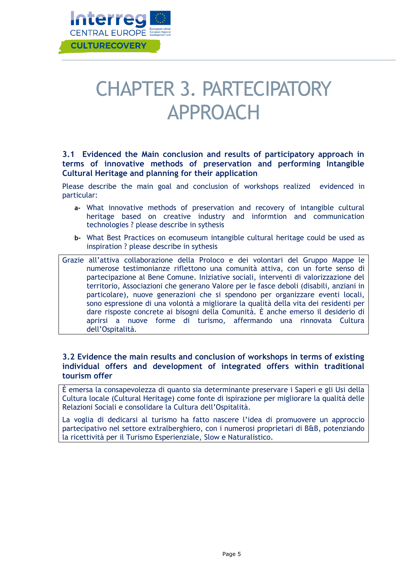

## CHAPTER 3. PARTECIPATORY APPROACH

#### **3.1 Evidenced the Main conclusion and results of participatory approach in terms of innovative methods of preservation and performing Intangible Cultural Heritage and planning for their application**

Please describe the main goal and conclusion of workshops realized evidenced in particular:

- **a-** What innovative methods of preservation and recovery of intangible cultural heritage based on creative industry and informtion and communication technologies ? please describe in sythesis
- **b-** What Best Practices on ecomuseum intangible cultural heritage could be used as inspiration ? please describe in sythesis
- Grazie all'attiva collaborazione della Proloco e dei volontari del Gruppo Mappe le numerose testimonianze riflettono una comunità attiva, con un forte senso di partecipazione al Bene Comune. Iniziative sociali, interventi di valorizzazione del territorio, Associazioni che generano Valore per le fasce deboli (disabili, anziani in particolare), nuove generazioni che si spendono per organizzare eventi locali, sono espressione di una volontà a migliorare la qualità della vita dei residenti per dare risposte concrete ai bisogni della Comunità. È anche emerso il desiderio di aprirsi a nuove forme di turismo, affermando una rinnovata Cultura dell'Ospitalità.

#### **3.2 Evidence the main results and conclusion of workshops in terms of existing individual offers and development of integrated offers within traditional tourism offer**

È emersa la consapevolezza di quanto sia determinante preservare i Saperi e gli Usi della Cultura locale (Cultural Heritage) come fonte di ispirazione per migliorare la qualità delle Relazioni Sociali e consolidare la Cultura dell'Ospitalità.

La voglia di dedicarsi al turismo ha fatto nascere l'idea di promuovere un approccio partecipativo nel settore extralberghiero, con i numerosi proprietari di B&B, potenziando la ricettività per il Turismo Esperienziale, Slow e Naturalistico.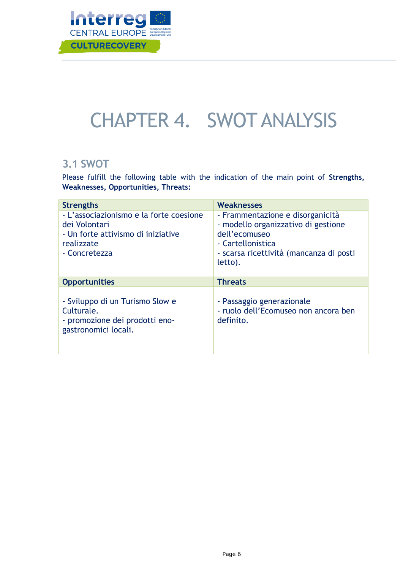

## CHAPTER 4. SWOT ANALYSIS

### **3.1 SWOT**

Please fulfill the following table with the indication of the main point of **Strengths, Weaknesses, Opportunities, Threats:**

| <b>Strengths</b>                                                                                                              | <b>Weaknesses</b>                                                                                                                                                   |
|-------------------------------------------------------------------------------------------------------------------------------|---------------------------------------------------------------------------------------------------------------------------------------------------------------------|
| - L'associazionismo e la forte coesione<br>dei Volontari<br>- Un forte attivismo di iniziative<br>realizzate<br>- Concretezza | - Frammentazione e disorganicità<br>- modello organizzativo di gestione<br>dell'ecomuseo<br>- Cartellonistica<br>- scarsa ricettività (mancanza di posti<br>letto). |
| <b>Opportunities</b>                                                                                                          | <b>Threats</b>                                                                                                                                                      |
| - Sviluppo di un Turismo Slow e<br>Culturale.<br>- promozione dei prodotti eno-<br>gastronomici locali.                       | - Passaggio generazionale<br>- ruolo dell'Ecomuseo non ancora ben<br>definito.                                                                                      |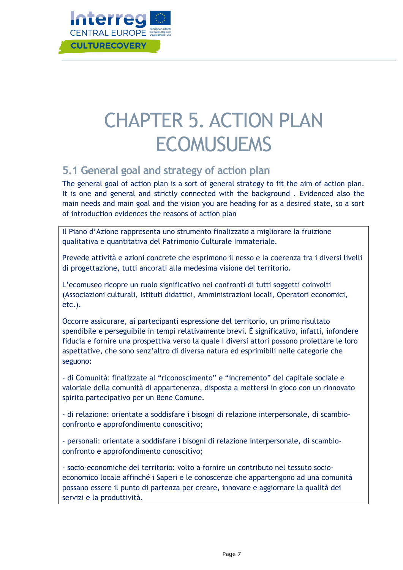

## CHAPTER 5. ACTION PLAN **ECOMUSUEMS**

### <span id="page-7-0"></span>**5.1 General goal and strategy of action plan**

The general goal of action plan is a sort of general strategy to fit the aim of action plan. It is one and general and strictly connected with the background . Evidenced also the main needs and main goal and the vision you are heading for as a desired state, so a sort of introduction evidences the reasons of action plan

Il Piano d'Azione rappresenta uno strumento finalizzato a migliorare la fruizione qualitativa e quantitativa del Patrimonio Culturale Immateriale.

Prevede attività e azioni concrete che esprimono il nesso e la coerenza tra i diversi livelli di progettazione, tutti ancorati alla medesima visione del territorio.

L'ecomuseo ricopre un ruolo significativo nei confronti di tutti soggetti coinvolti (Associazioni culturali, Istituti didattici, Amministrazioni locali, Operatori economici, etc.).

Occorre assicurare, ai partecipanti espressione del territorio, un primo risultato spendibile e perseguibile in tempi relativamente brevi. È significativo, infatti, infondere fiducia e fornire una prospettiva verso la quale i diversi attori possono proiettare le loro aspettative, che sono senz'altro di diversa natura ed esprimibili nelle categorie che seguono:

- di Comunità: finalizzate al "riconoscimento" e "incremento" del capitale sociale e valoriale della comunità di appartenenza, disposta a mettersi in gioco con un rinnovato spirito partecipativo per un Bene Comune.

- di relazione: orientate a soddisfare i bisogni di relazione interpersonale, di scambioconfronto e approfondimento conoscitivo;

- personali: orientate a soddisfare i bisogni di relazione interpersonale, di scambioconfronto e approfondimento conoscitivo;

- socio-economiche del territorio: volto a fornire un contributo nel tessuto socioeconomico locale affinché i Saperi e le conoscenze che appartengono ad una comunità possano essere il punto di partenza per creare, innovare e aggiornare la qualità dei servizi e la produttività.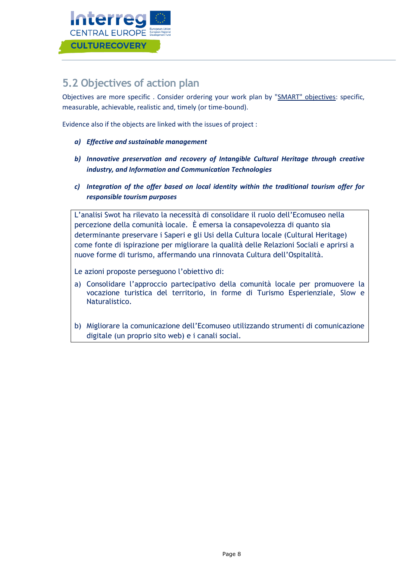

### <span id="page-8-0"></span>**5.2 Objectives of action plan**

Objectives are more specific . Consider ordering your work plan by "SMART" objectives: specific, measurable, achievable, realistic and, timely (or time-bound).

Evidence also if the objects are linked with the issues of project :

- *a) Effective and sustainable management*
- *b) Innovative preservation and recovery of Intangible Cultural Heritage through creative industry, and Information and Communication Technologies*
- *c) Integration of the offer based on local identity within the traditional tourism offer for responsible tourism purposes*

L'analisi Swot ha rilevato la necessità di consolidare il ruolo dell'Ecomuseo nella percezione della comunità locale. È emersa la consapevolezza di quanto sia determinante preservare i Saperi e gli Usi della Cultura locale (Cultural Heritage) come fonte di ispirazione per migliorare la qualità delle Relazioni Sociali e aprirsi a nuove forme di turismo, affermando una rinnovata Cultura dell'Ospitalità.

Le azioni proposte perseguono l'obiettivo di:

- a) Consolidare l'approccio partecipativo della comunità locale per promuovere la vocazione turistica del territorio, in forme di Turismo Esperienziale, Slow e Naturalistico.
- b) Migliorare la comunicazione dell'Ecomuseo utilizzando strumenti di comunicazione digitale (un proprio sito web) e i canali social.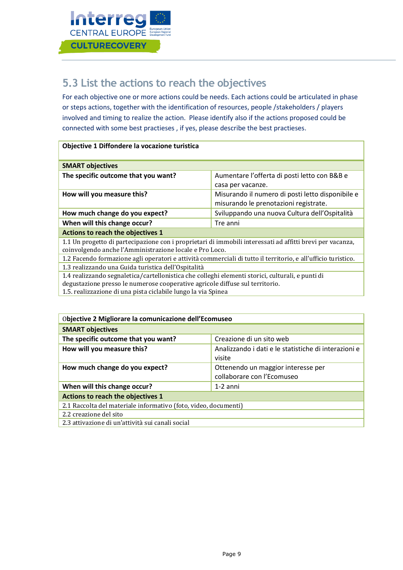

### **5.3 List the actions to reach the objectives**

For each objective one or more actions could be needs. Each actions could be articulated in phase or steps actions, together with the identification of resources, people /stakeholders / players involved and timing to realize the action. Please identify also if the actions proposed could be connected with some best practieses , if yes, please describe the best practieses.

#### **Objective 1 Diffondere la vocazione turistica**

| <b>SMART objectives</b>             |                                                  |
|-------------------------------------|--------------------------------------------------|
| The specific outcome that you want? | Aumentare l'offerta di posti letto con B&B e     |
|                                     | casa per vacanze.                                |
| How will you measure this?          | Misurando il numero di posti letto disponibile e |
|                                     | misurando le prenotazioni registrate.            |
| How much change do you expect?      | Sviluppando una nuova Cultura dell'Ospitalità    |
| When will this change occur?        | Tre anni                                         |
| Actions to reach the objectives 1   |                                                  |

1.1 Un progetto di partecipazione con i proprietari di immobili interessati ad affitti brevi per vacanza, coinvolgendo anche l'Amministrazione locale e Pro Loco.

1.2 Facendo formazione agli operatori e attività commerciali di tutto il territorio, e all'ufficio turistico.

1.3 realizzando una Guida turistica dell'Ospitalità

1.4 realizzando segnaletica/cartellonistica che colleghi elementi storici, culturali, e punti di

degustazione presso le numerose cooperative agricole diffuse sul territorio.

1.5. realizzazione di una pista ciclabile lungo la via Spinea

| Objective 2 Migliorare la comunicazione dell'Ecomuseo           |                                                                  |  |
|-----------------------------------------------------------------|------------------------------------------------------------------|--|
| <b>SMART objectives</b>                                         |                                                                  |  |
| The specific outcome that you want?                             | Creazione di un sito web                                         |  |
| How will you measure this?                                      | Analizzando i dati e le statistiche di interazioni e<br>visite   |  |
| How much change do you expect?                                  | Ottenendo un maggior interesse per<br>collaborare con l'Ecomuseo |  |
| When will this change occur?                                    | $1-2$ anni                                                       |  |
| Actions to reach the objectives 1                               |                                                                  |  |
| 2.1 Raccolta del materiale informativo (foto, video, documenti) |                                                                  |  |
| 2.2 creazione del sito                                          |                                                                  |  |
| 2.3 attivazione di un'attività sui canali social                |                                                                  |  |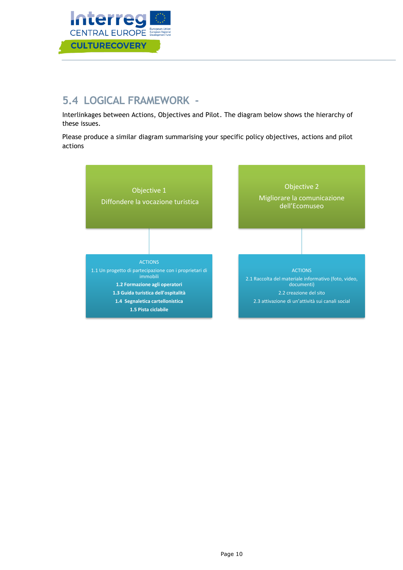

## **5.4 LOGICAL FRAMEWORK -**

Interlinkages between Actions, Objectives and Pilot. The diagram below shows the hierarchy of these issues.

Please produce a similar diagram summarising your specific policy objectives, actions and pilot actions